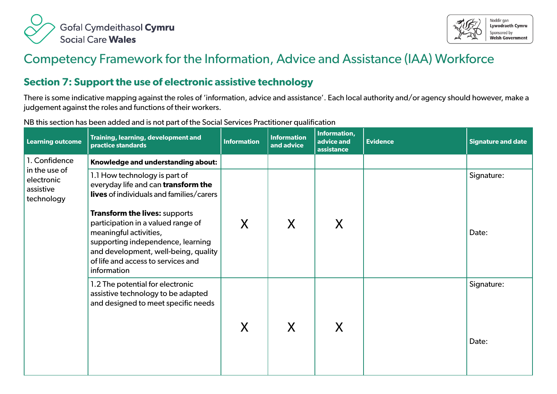



## Competency Framework for the Information, Advice and Assistance (IAA) Workforce

## **Section 7: Support the use of electronic assistive technology**

There is some indicative mapping against the roles of 'information, advice and assistance'. Each local authority and/or agency should however, make a judgement against the roles and functions of their workers.

NB this section has been added and is not part of the Social Services Practitioner qualification

| <b>Learning outcome</b>                                | Training, learning, development and<br>practice standards                                                                                                                                                                              | <b>Information</b> | <b>Information</b><br>and advice | Information,<br>advice and<br>assistance | <b>Evidence</b> | <b>Signature and date</b> |
|--------------------------------------------------------|----------------------------------------------------------------------------------------------------------------------------------------------------------------------------------------------------------------------------------------|--------------------|----------------------------------|------------------------------------------|-----------------|---------------------------|
| 1. Confidence                                          | Knowledge and understanding about:                                                                                                                                                                                                     |                    |                                  |                                          |                 |                           |
| in the use of<br>electronic<br>assistive<br>technology | 1.1 How technology is part of<br>everyday life and can transform the<br><b>lives</b> of individuals and families/carers                                                                                                                |                    |                                  |                                          |                 | Signature:                |
|                                                        | <b>Transform the lives: supports</b><br>participation in a valued range of<br>meaningful activities,<br>supporting independence, learning<br>and development, well-being, quality<br>of life and access to services and<br>information | X                  | X                                | X                                        |                 | Date:                     |
|                                                        | 1.2 The potential for electronic<br>assistive technology to be adapted<br>and designed to meet specific needs                                                                                                                          | X                  | X                                | X                                        |                 | Signature:<br>Date:       |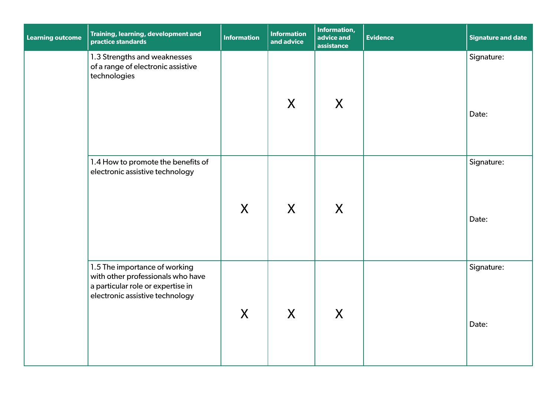| <b>Learning outcome</b> | Training, learning, development and<br>practice standards                                                                                  | <b>Information</b> | <b>Information</b><br>and advice | Information,<br>advice and<br>assistance | <b>Evidence</b> | <b>Signature and date</b> |
|-------------------------|--------------------------------------------------------------------------------------------------------------------------------------------|--------------------|----------------------------------|------------------------------------------|-----------------|---------------------------|
|                         | 1.3 Strengths and weaknesses<br>of a range of electronic assistive<br>technologies                                                         |                    | X                                | X                                        |                 | Signature:<br>Date:       |
|                         | 1.4 How to promote the benefits of<br>electronic assistive technology                                                                      | X                  | X                                | X                                        |                 | Signature:<br>Date:       |
|                         | 1.5 The importance of working<br>with other professionals who have<br>a particular role or expertise in<br>electronic assistive technology | X                  | $\mathsf{X}$                     | X                                        |                 | Signature:<br>Date:       |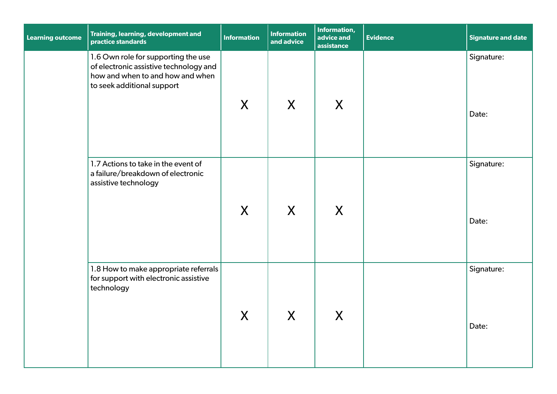| <b>Learning outcome</b> | Training, learning, development and<br>practice standards                                                                                       | <b>Information</b> | <b>Information</b><br>and advice | Information,<br>advice and<br>assistance | <b>Evidence</b> | Signature and date  |
|-------------------------|-------------------------------------------------------------------------------------------------------------------------------------------------|--------------------|----------------------------------|------------------------------------------|-----------------|---------------------|
|                         | 1.6 Own role for supporting the use<br>of electronic assistive technology and<br>how and when to and how and when<br>to seek additional support | X                  | X                                | X                                        |                 | Signature:<br>Date: |
|                         | 1.7 Actions to take in the event of<br>a failure/breakdown of electronic<br>assistive technology                                                | X                  | X                                | X                                        |                 | Signature:<br>Date: |
|                         | 1.8 How to make appropriate referrals<br>for support with electronic assistive<br>technology                                                    | X                  | X                                | X                                        |                 | Signature:<br>Date: |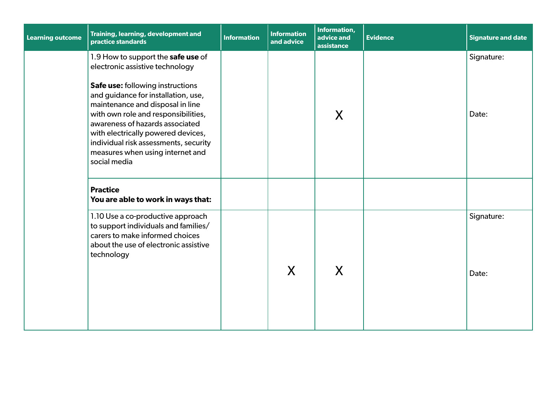| <b>Learning outcome</b> | <b>Training, learning, development and</b><br>practice standards                                                                                                                                                                                                                                                                                                                                  | <b>Information</b> | <b>Information</b><br>and advice | Information,<br>advice and<br>assistance | <b>Evidence</b> | <b>Signature and date</b> |
|-------------------------|---------------------------------------------------------------------------------------------------------------------------------------------------------------------------------------------------------------------------------------------------------------------------------------------------------------------------------------------------------------------------------------------------|--------------------|----------------------------------|------------------------------------------|-----------------|---------------------------|
|                         | 1.9 How to support the safe use of<br>electronic assistive technology<br>Safe use: following instructions<br>and guidance for installation, use,<br>maintenance and disposal in line<br>with own role and responsibilities,<br>awareness of hazards associated<br>with electrically powered devices,<br>individual risk assessments, security<br>measures when using internet and<br>social media |                    |                                  | X                                        |                 | Signature:<br>Date:       |
|                         | <b>Practice</b><br>You are able to work in ways that:                                                                                                                                                                                                                                                                                                                                             |                    |                                  |                                          |                 |                           |
|                         | 1.10 Use a co-productive approach<br>to support individuals and families/<br>carers to make informed choices<br>about the use of electronic assistive<br>technology                                                                                                                                                                                                                               |                    | X                                | X                                        |                 | Signature:<br>Date:       |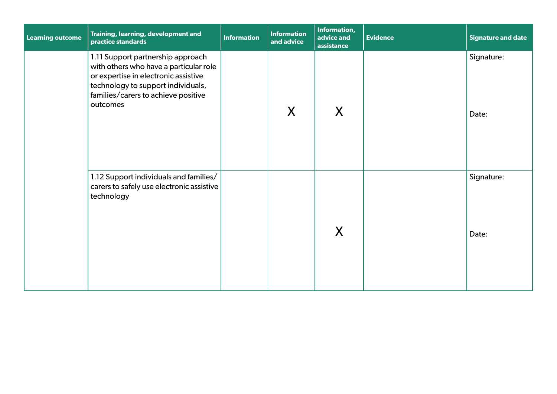| <b>Learning outcome</b> | Training, learning, development and<br>practice standards                                                                                                                                                    | <b>Information</b> | <b>Information</b><br>and advice | <b>Information,</b><br>advice and<br>assistance | <b>Evidence</b> | <b>Signature and date</b> |
|-------------------------|--------------------------------------------------------------------------------------------------------------------------------------------------------------------------------------------------------------|--------------------|----------------------------------|-------------------------------------------------|-----------------|---------------------------|
|                         | 1.11 Support partnership approach<br>with others who have a particular role<br>or expertise in electronic assistive<br>technology to support individuals,<br>families/carers to achieve positive<br>outcomes |                    | X                                | X                                               |                 | Signature:<br>Date:       |
|                         | 1.12 Support individuals and families/<br>carers to safely use electronic assistive<br>technology                                                                                                            |                    |                                  | X                                               |                 | Signature:<br>Date:       |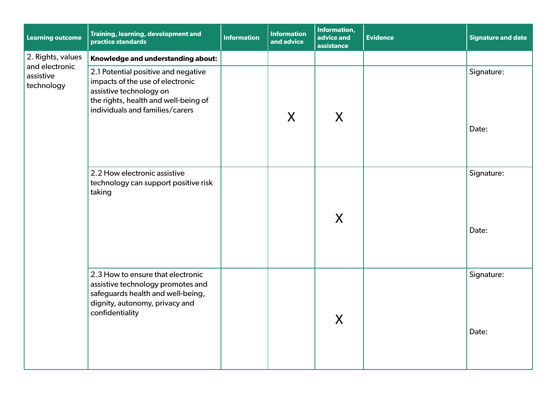| Learning outcome                    | Training, learning, development and<br>practice standards                                                                                                                     | <b>Information</b> | <b>Information</b><br>and advice | Information,<br>advice and<br>assistance | <b>Evidence</b> | <b>Signature and date</b> |
|-------------------------------------|-------------------------------------------------------------------------------------------------------------------------------------------------------------------------------|--------------------|----------------------------------|------------------------------------------|-----------------|---------------------------|
| 2. Rights, values<br>and electronic | Knowledge and understanding about:                                                                                                                                            |                    |                                  |                                          |                 |                           |
| assistive<br>technology             | 2.1 Potential positive and negative<br>impacts of the use of electronic<br>assistive technology on<br>the rights, health and well-being of<br>individuals and families/carers |                    | X                                | X                                        |                 | Signature:<br>Date:       |
|                                     | 2.2 How electronic assistive<br>technology can support positive risk<br>taking                                                                                                |                    |                                  | X                                        |                 | Signature:<br>Date:       |
|                                     | 2.3 How to ensure that electronic<br>assistive technology promotes and<br>safeguards health and well-being,<br>dignity, autonomy, privacy and<br>confidentiality              |                    |                                  | X                                        |                 | Signature:<br>Date:       |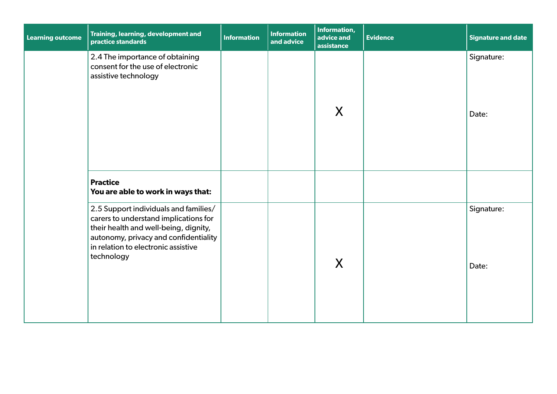| <b>Learning outcome</b> | Training, learning, development and<br>practice standards                                                                                                                                                             | <b>Information</b> | <b>Information</b><br>and advice | Information,<br>advice and<br>assistance | <b>Evidence</b> | <b>Signature and date</b> |
|-------------------------|-----------------------------------------------------------------------------------------------------------------------------------------------------------------------------------------------------------------------|--------------------|----------------------------------|------------------------------------------|-----------------|---------------------------|
|                         | 2.4 The importance of obtaining<br>consent for the use of electronic<br>assistive technology                                                                                                                          |                    |                                  | X                                        |                 | Signature:<br>Date:       |
|                         | <b>Practice</b><br>You are able to work in ways that:                                                                                                                                                                 |                    |                                  |                                          |                 |                           |
|                         | 2.5 Support individuals and families/<br>carers to understand implications for<br>their health and well-being, dignity,<br>autonomy, privacy and confidentiality<br>in relation to electronic assistive<br>technology |                    |                                  | X                                        |                 | Signature:<br>Date:       |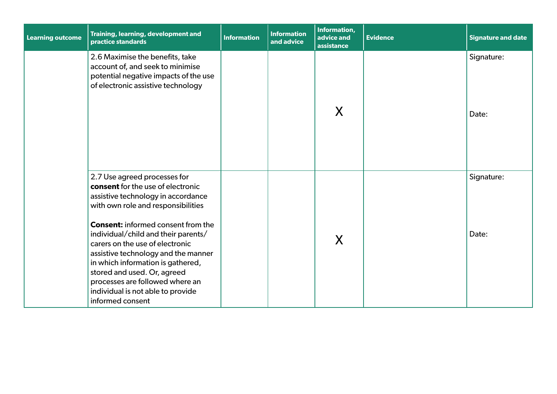| <b>Learning outcome</b> | Training, learning, development and<br>practice standards                                                                                                                                                                                                                                                                                                                                                                                                                   | <b>Information</b> | <b>Information</b><br>and advice | Information,<br>advice and<br>assistance | <b>Evidence</b> | <b>Signature and date</b> |
|-------------------------|-----------------------------------------------------------------------------------------------------------------------------------------------------------------------------------------------------------------------------------------------------------------------------------------------------------------------------------------------------------------------------------------------------------------------------------------------------------------------------|--------------------|----------------------------------|------------------------------------------|-----------------|---------------------------|
|                         | 2.6 Maximise the benefits, take<br>account of, and seek to minimise<br>potential negative impacts of the use<br>of electronic assistive technology                                                                                                                                                                                                                                                                                                                          |                    |                                  | X                                        |                 | Signature:<br>Date:       |
|                         | 2.7 Use agreed processes for<br>consent for the use of electronic<br>assistive technology in accordance<br>with own role and responsibilities<br><b>Consent:</b> informed consent from the<br>individual/child and their parents/<br>carers on the use of electronic<br>assistive technology and the manner<br>in which information is gathered,<br>stored and used. Or, agreed<br>processes are followed where an<br>individual is not able to provide<br>informed consent |                    |                                  | X                                        |                 | Signature:<br>Date:       |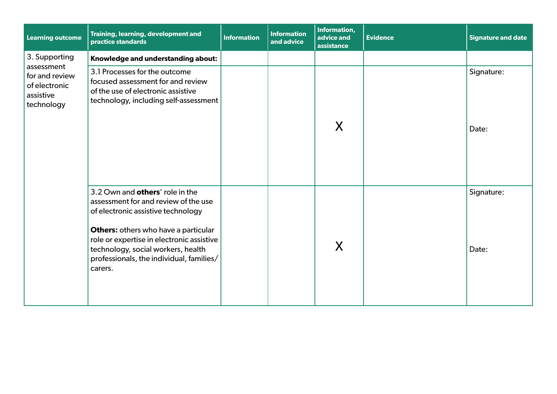| <b>Learning outcome</b>                                    | Training, learning, development and<br>practice standards                                                                                                                                                                                                                                              | <b>Information</b> | <b>Information</b><br>and advice | Information,<br>advice and<br>assistance | <b>Evidence</b> | <b>Signature and date</b> |
|------------------------------------------------------------|--------------------------------------------------------------------------------------------------------------------------------------------------------------------------------------------------------------------------------------------------------------------------------------------------------|--------------------|----------------------------------|------------------------------------------|-----------------|---------------------------|
| 3. Supporting<br>assessment                                | Knowledge and understanding about:                                                                                                                                                                                                                                                                     |                    |                                  |                                          |                 |                           |
| for and review<br>of electronic<br>assistive<br>technology | 3.1 Processes for the outcome<br>focused assessment for and review<br>of the use of electronic assistive<br>technology, including self-assessment                                                                                                                                                      |                    |                                  | X                                        |                 | Signature:<br>Date:       |
|                                                            | 3.2 Own and others' role in the<br>assessment for and review of the use<br>of electronic assistive technology<br><b>Others:</b> others who have a particular<br>role or expertise in electronic assistive<br>technology, social workers, health<br>professionals, the individual, families/<br>carers. |                    |                                  | X                                        |                 | Signature:<br>Date:       |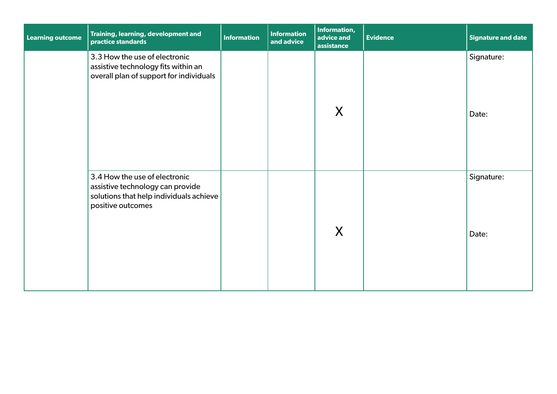| <b>Learning outcome</b> | Training, learning, development and<br>practice standards                                                                         | <b>Information</b> | <b>Information</b><br>and advice | Information,<br>advice and<br>assistance | <b>Evidence</b> | <b>Signature and date</b> |
|-------------------------|-----------------------------------------------------------------------------------------------------------------------------------|--------------------|----------------------------------|------------------------------------------|-----------------|---------------------------|
|                         | 3.3 How the use of electronic<br>assistive technology fits within an<br>overall plan of support for individuals                   |                    |                                  | X                                        |                 | Signature:<br>Date:       |
|                         | 3.4 How the use of electronic<br>assistive technology can provide<br>solutions that help individuals achieve<br>positive outcomes |                    |                                  | X                                        |                 | Signature:<br>Date:       |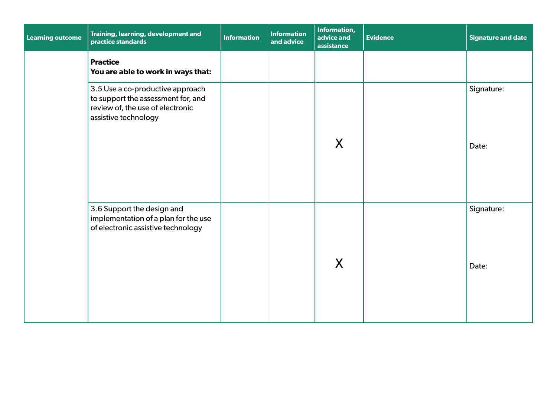| <b>Learning outcome</b> | Training, learning, development and<br>practice standards                                                                          | <b>Information</b> | <b>Information</b><br>and advice | <b>Information,</b><br>advice and<br>assistance | <b>Evidence</b> | <b>Signature and date</b> |
|-------------------------|------------------------------------------------------------------------------------------------------------------------------------|--------------------|----------------------------------|-------------------------------------------------|-----------------|---------------------------|
|                         | <b>Practice</b><br>You are able to work in ways that:                                                                              |                    |                                  |                                                 |                 |                           |
|                         | 3.5 Use a co-productive approach<br>to support the assessment for, and<br>review of, the use of electronic<br>assistive technology |                    |                                  | X                                               |                 | Signature:<br>Date:       |
|                         | 3.6 Support the design and<br>implementation of a plan for the use<br>of electronic assistive technology                           |                    |                                  | X                                               |                 | Signature:<br>Date:       |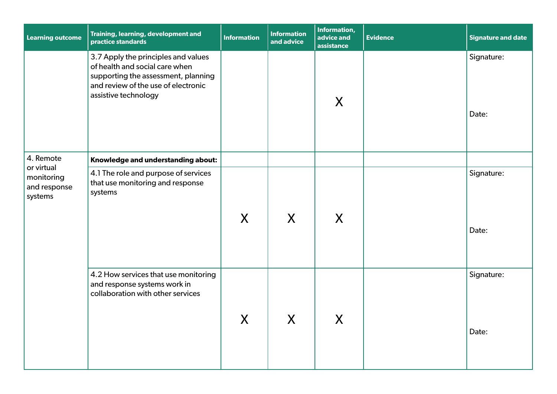| <b>Learning outcome</b>                             | Training, learning, development and<br>practice standards                                                                                                                   | <b>Information</b> | <b>Information</b><br>and advice      | Information,<br>advice and<br>assistance | <b>Evidence</b> | <b>Signature and date</b> |
|-----------------------------------------------------|-----------------------------------------------------------------------------------------------------------------------------------------------------------------------------|--------------------|---------------------------------------|------------------------------------------|-----------------|---------------------------|
|                                                     | 3.7 Apply the principles and values<br>of health and social care when<br>supporting the assessment, planning<br>and review of the use of electronic<br>assistive technology |                    |                                       | X                                        |                 | Signature:<br>Date:       |
| 4. Remote                                           | Knowledge and understanding about:                                                                                                                                          |                    |                                       |                                          |                 |                           |
| or virtual<br>monitoring<br>and response<br>systems | 4.1 The role and purpose of services<br>that use monitoring and response<br>systems                                                                                         | X                  | X                                     | X                                        |                 | Signature:<br>Date:       |
|                                                     | 4.2 How services that use monitoring<br>and response systems work in<br>collaboration with other services                                                                   | X                  | $\mathbf v$<br>$\boldsymbol{\Lambda}$ | V<br>$\boldsymbol{\Lambda}$              |                 | Signature:<br>Date:       |